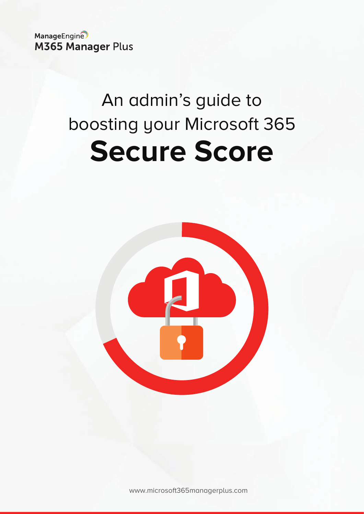ManageEngine **M365 Manager Plus** 

# An admin's guide to boosting your Microsoft 365 **Secure Score**



www.microsoft[365managerplus.com](https://www.manageengine.com/microsoft-365-management-reporting/index.html?utm_source=pdf&utm_content=secure-score-guide)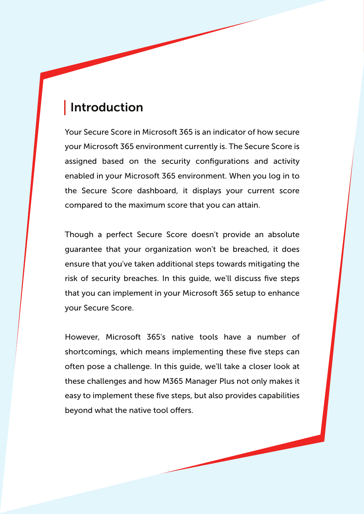# Introduction

Your Secure Score in Microsoft 365 is an indicator of how secure your Microsoft 365 environment currently is. The Secure Score is assigned based on the security configurations and activity enabled in your Microsoft 365 environment. When you log in to the Secure Score dashboard, it displays your current score compared to the maximum score that you can attain.

Though a perfect Secure Score doesn't provide an absolute guarantee that your organization won't be breached, it does ensure that you've taken additional steps towards mitigating the risk of security breaches. In this guide, we'll discuss five steps that you can implement in your Microsoft 365 setup to enhance your Secure Score.

However, Microsoft 365's native tools have a number of shortcomings, which means implementing these five steps can often pose a challenge. In this guide, we'll take a closer look at these challenges and how M365 Manager Plus not only makes it easy to implement these five steps, but also provides capabilities beyond what the native tool offers.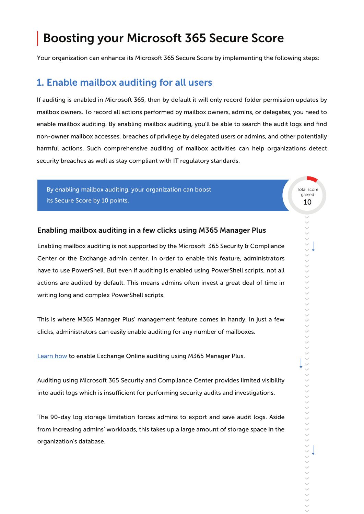# Boosting your Microsoft 365 Secure Score

Your organization can enhance its Microsoft 365 Secure Score by implementing the following steps:

## 1. Enable mailbox auditing for all users

If auditing is enabled in Microsoft 365, then by default it will only record folder permission updates by mailbox owners. To record all actions performed by mailbox owners, admins, or delegates, you need to enable mailbox auditing. By enabling mailbox auditing, you'll be able to search the audit logs and find non-owner mailbox accesses, breaches of privilege by delegated users or admins, and other potentially harmful actions. Such comprehensive auditing of mailbox activities can help organizations detect security breaches as well as stay compliant with IT regulatory standards.

By enabling mailbox auditing, your organization can boost its Secure Score by 10 points. 10 and 10 and 10 and 10 and 10 and 10 and 10 and 10 and 10 and 10 and 10 and 10

Total score gained

#### Enabling mailbox auditing in a few clicks using M365 Manager Plus

Enabling mailbox auditing is not supported by the Microsoft 365 Security & Compliance Center or the Exchange admin center. In order to enable this feature, administrators have to use PowerShell. But even if auditing is enabled using PowerShell scripts, not all actions are audited by default. This means admins often invest a great deal of time in writing long and complex PowerShell scripts.

This is where M365 Manager Plus' management feature comes in handy. In just a few clicks, administrators can easily enable auditing for any number of mailboxes.

[Learn how](https://www.manageengine.com/microsoft-365-management-reporting/kb/how-to-enable-exchange-online-mailbox-auditing.html?utm_source=pdf&utm_content=secure-score-guide) to enable Exchange Online auditing using M365 Manager Plus.

Auditing using Microsoft 365 Security and Compliance Center provides limited visibility into audit logs which is insufficient for performing security audits and investigations.

The 90-day log storage limitation forces admins to export and save audit logs. Aside from increasing admins' workloads, this takes up a large amount of storage space in the organization's database.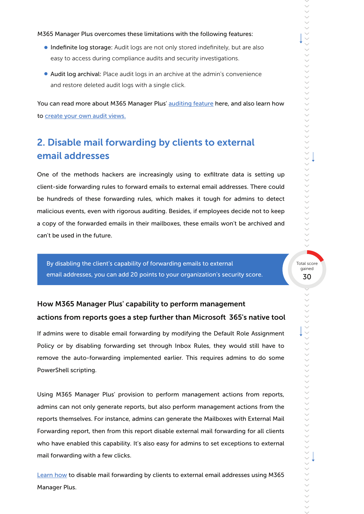#### M365 Manager Plus overcomes these limitations with the following features:

- **Indefinite log storage:** Audit logs are not only stored indefinitely, but are also easy to access during compliance audits and security investigations.
- Audit log archival: Place audit logs in an archive at the admin's convenience and restore deleted audit logs with a single click.

You can read more about M365 Manager Plus' [auditing feature](https://www.manageengine.com/microsoft-365-management-reporting/microsoft-365-auditing-tool.html?utm_source=pdf&utm_content=secure-score-guide) here, and also learn how to [create your own audit views.](https://www.manageengine.com/microsoft-365-management-reporting/kb/microsoft-365-audit-report-views-tips-and-tricks.html?utm_source=pdf&utm_content=secure-score-guide)

# 2. Disable mail forwarding by clients to external email addresses

One of the methods hackers are increasingly using to exfiltrate data is setting up client-side forwarding rules to forward emails to external email addresses. There could be hundreds of these forwarding rules, which makes it tough for admins to detect malicious events, even with rigorous auditing. Besides, if employees decide not to keep a copy of the forwarded emails in their mailboxes, these emails won't be archived and can't be used in the future.

By disabling the client's capability of forwarding emails to external<br>gained email addresses, you can add 20 points to your organization's security score.

How M365 Manager Plus' capability to perform management actions from reports goes a step further than Microsoft 365's native tool

If admins were to disable email forwarding by modifying the Default Role Assignment Policy or by disabling forwarding set through Inbox Rules, they would still have to remove the auto-forwarding implemented earlier. This requires admins to do some PowerShell scripting.

Using M365 Manager Plus' provision to perform management actions from reports, admins can not only generate reports, but also perform management actions from the reports themselves. For instance, admins can generate the Mailboxes with External Mail Forwarding report, then from this report disable external mail forwarding for all clients who have enabled this capability. It's also easy for admins to set exceptions to external mail forwarding with a few clicks.

[Learn how](https://www.manageengine.com/microsoft-365-management-reporting/kb/disable-email-forwarding-to-external-email-address.html?utm_source=pdf&utm_content=secure-score-guide) to disable mail forwarding by clients to external email addresses using M365 Manager Plus.

>>>>>>>>>>>>>>>>>>>>>>>>>>>>>>>>>>>>>>>>>>>>>>>>>>>>>>>>>>>>>>>>>>>>>>>>>>>>>>>>>>>>>>>>>>>>>>>>>>>>>>>>>>>>>>>>>>>>>>>>>>>>>>>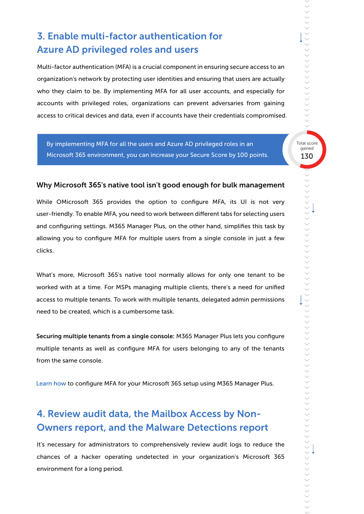# 3. Enable multi-factor authentication for Azure AD privileged roles and users

Multi-factor authentication (MFA) is a crucial component in ensuring secure access to an organization's network by protecting user identities and ensuring that users are actually who they claim to be. By implementing MFA for all user accounts, and especially for accounts with privileged roles, organizations can prevent adversaries from gaining access to critical devices and data, even if accounts have their credentials compromised.

By implementing MFA for all the users and Azure AD privileged roles in an **Exercise 20** Total sco Microsoft 365 environment, you can increase your Secure Score by 100 points.

130 Total score

#### Why Microsoft 365's native tool isn't good enough for bulk management

While OMicrosoft 365 provides the option to configure MFA, its UI is not very user-friendly. To enable MFA, you need to work between different tabs for selecting users and configuring settings. M365 Manager Plus, on the other hand, simplifies this task by allowing you to configure MFA for multiple users from a single console in just a few clicks.

What's more, Microsoft 365's native tool normally allows for only one tenant to be worked with at a time. For MSPs managing multiple clients, there's a need for unified access to multiple tenants. To work with multiple tenants, delegated admin permissions need to be created, which is a cumbersome task.

Securing multiple tenants from a single console: M365 Manager Plus lets you configure multiple tenants as well as configure MFA for users belonging to any of the tenants from the same console.

[Learn how t](https://www.manageengine.com/microsoft-365-management-reporting/setup-multi-factor-authentication-for-microsoft-365-users.html?utm_source=pdf&utm_content=secure-score-guide)o configure MFA for your Microsoft 365 setup using M365 Manager Plus.

# 4. Review audit data, the Mailbox Access by Non-Owners report, and the Malware Detections report

It's necessary for administrators to comprehensively review audit logs to reduce the chances of a hacker operating undetected in your organization's Microsoft 365 environment for a long period.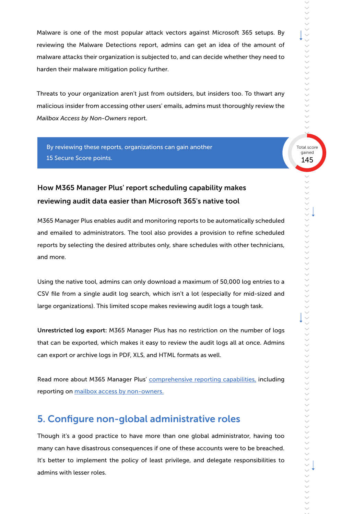Malware is one of the most popular attack vectors against Microsoft 365 setups. By reviewing the Malware Detections report, admins can get an idea of the amount of malware attacks their organization is subjected to, and can decide whether they need to harden their malware mitigation policy further.

Threats to your organization aren't just from outsiders, but insiders too. To thwart any malicious insider from accessing other users' emails, admins must thoroughly review the *Mailbox Access by Non-Owners* report.

By reviewing these reports, organizations can gain another 15 Secure Score points.

## How M365 Manager Plus' report scheduling capability makes reviewing audit data easier than Microsoft 365's native tool

M365 Manager Plus enables audit and monitoring reports to be automatically scheduled and emailed to administrators. The tool also provides a provision to refine scheduled reports by selecting the desired attributes only, share schedules with other technicians, and more.

Using the native tool, admins can only download a maximum of 50,000 log entries to a CSV file from a single audit log search, which isn't a lot (especially for mid-sized and large organizations). This limited scope makes reviewing audit logs a tough task.

Unrestricted log export: M365 Manager Plus has no restriction on the number of logs that can be exported, which makes it easy to review the audit logs all at once. Admins can export or archive logs in PDF, XLS, and HTML formats as well.

Read more about M365 Manager Plus' [comprehensive reporting capabilities,](https://www.manageengine.com/microsoft-365-management-reporting/microsoft-365-security-and-compliance-reports.html?utm_source=pdf&utm_content=secure-score-guide) including reporting o[n mailbox access by non-owners.](https://www.manageengine.com/microsoft-365-management-reporting/microsoft-365-non-owner-mailbox-access-report.html?utm_source=pdf&utm_content=secure-score-guide)

## 5. Configure non-global administrative roles

Though it's a good practice to have more than one global administrator, having too many can have disastrous consequences if one of these accounts were to be breached. It's better to implement the policy of least privilege, and delegate responsibilities to admins with lesser roles.

>>>>>>>>>>>>>>>>>>>>>>>>>>>>>>>>>>>>>>>>>>>>>>>>>>>>>>>>>>>>>>>>>>>>>>>>>>>>>>>>>>>>>>>>>>>>>>>>>>>>>>>>>>>>>>>>>>>>>>>>>>>>>>>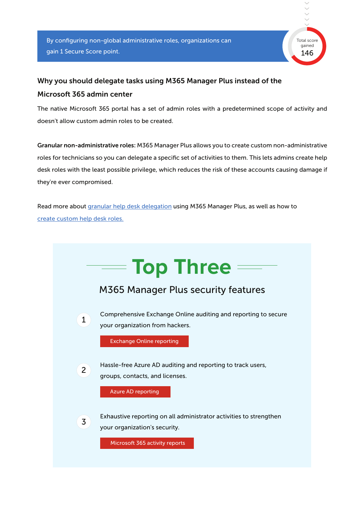

# Why you should delegate tasks using M365 Manager Plus instead of the Microsoft 365 admin center

The native Microsoft 365 portal has a set of admin roles with a predetermined scope of activity and doesn't allow custom admin roles to be created.

Granular non-administrative roles: M365 Manager Plus allows you to create custom non-administrative roles for technicians so you can delegate a specific set of activities to them. This lets admins create help desk roles with the least possible privilege, which reduces the risk of these accounts causing damage if they're ever compromised.

Read more abou[t granular help desk delegation](https://www.manageengine.com/microsoft-365-management-reporting/microsoft-365-delegation.html?utm_source=pdf&utm_content=secure-score-guide) using M365 Manager Plus, as well as how to [create custom help desk roles.](https://www.manageengine.com/microsoft-365-management-reporting/kb/create-custom-help-desk-roles-tips-and-tricks.html?utm_source=pdf&utm_content=secure-score-guide)

|                | — Top Three                                                                                         |
|----------------|-----------------------------------------------------------------------------------------------------|
|                | M365 Manager Plus security features                                                                 |
| $\mathbf{1}$   | Comprehensive Exchange Online auditing and reporting to secure<br>your organization from hackers.   |
|                | <b>Exchange Online reporting</b>                                                                    |
| $\overline{2}$ | Hassle-free Azure AD auditing and reporting to track users,<br>groups, contacts, and licenses.      |
|                | <b>Azure AD reporting</b>                                                                           |
| $\overline{3}$ | Exhaustive reporting on all administrator activities to strengthen<br>your organization's security. |
|                | Microsoft 365 activity reports                                                                      |